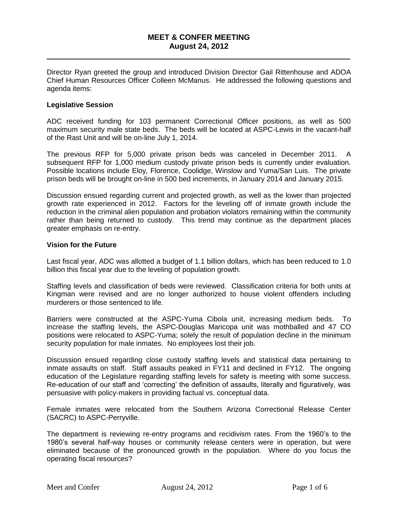# **MEET & CONFER MEETING August 24, 2012**

\_\_\_\_\_\_\_\_\_\_\_\_\_\_\_\_\_\_\_\_\_\_\_\_\_\_\_\_\_\_\_\_\_\_\_\_\_\_\_\_\_\_\_\_\_\_\_\_\_\_\_\_\_\_\_\_\_\_\_\_\_\_\_\_\_\_\_\_\_\_

Director Ryan greeted the group and introduced Division Director Gail Rittenhouse and ADOA Chief Human Resources Officer Colleen McManus. He addressed the following questions and agenda items:

### **Legislative Session**

ADC received funding for 103 permanent Correctional Officer positions, as well as 500 maximum security male state beds. The beds will be located at ASPC-Lewis in the vacant-half of the Rast Unit and will be on-line July 1, 2014.

The previous RFP for 5,000 private prison beds was canceled in December 2011. A subsequent RFP for 1,000 medium custody private prison beds is currently under evaluation. Possible locations include Eloy, Florence, Coolidge, Winslow and Yuma/San Luis. The private prison beds will be brought on-line in 500 bed increments, in January 2014 and January 2015.

Discussion ensued regarding current and projected growth, as well as the lower than projected growth rate experienced in 2012. Factors for the leveling off of inmate growth include the reduction in the criminal alien population and probation violators remaining within the community rather than being returned to custody. This trend may continue as the department places greater emphasis on re-entry.

#### **Vision for the Future**

Last fiscal year, ADC was allotted a budget of 1.1 billion dollars, which has been reduced to 1.0 billion this fiscal year due to the leveling of population growth.

Staffing levels and classification of beds were reviewed. Classification criteria for both units at Kingman were revised and are no longer authorized to house violent offenders including murderers or those sentenced to life.

Barriers were constructed at the ASPC-Yuma Cibola unit, increasing medium beds. To increase the staffing levels, the ASPC-Douglas Maricopa unit was mothballed and 47 CO positions were relocated to ASPC-Yuma; solely the result of population decline in the minimum security population for male inmates. No employees lost their job.

Discussion ensued regarding close custody staffing levels and statistical data pertaining to inmate assaults on staff. Staff assaults peaked in FY11 and declined in FY12. The ongoing education of the Legislature regarding staffing levels for safety is meeting with some success. Re-education of our staff and 'correcting' the definition of assaults, literally and figuratively, was persuasive with policy-makers in providing factual vs. conceptual data.

Female inmates were relocated from the Southern Arizona Correctional Release Center (SACRC) to ASPC-Perryville.

The department is reviewing re-entry programs and recidivism rates. From the 1960's to the 1980's several half-way houses or community release centers were in operation, but were eliminated because of the pronounced growth in the population. Where do you focus the operating fiscal resources?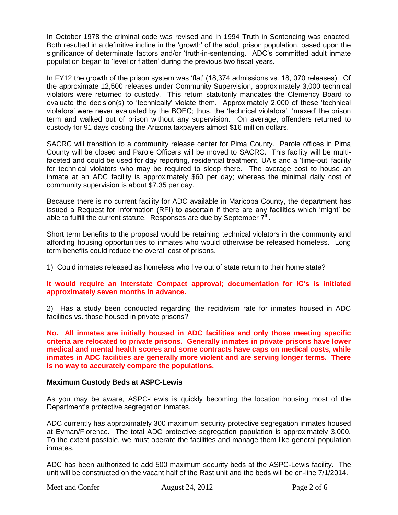In October 1978 the criminal code was revised and in 1994 Truth in Sentencing was enacted. Both resulted in a definitive incline in the 'growth' of the adult prison population, based upon the significance of determinate factors and/or 'truth-in-sentencing. ADC's committed adult inmate population began to 'level or flatten' during the previous two fiscal years.

In FY12 the growth of the prison system was 'flat' (18,374 admissions vs. 18, 070 releases). Of the approximate 12,500 releases under Community Supervision, approximately 3,000 technical violators were returned to custody. This return statutorily mandates the Clemency Board to evaluate the decision(s) to 'technically' violate them. Approximately 2,000 of these 'technical violators' were never evaluated by the BOEC; thus, the 'technical violators' 'maxed' the prison term and walked out of prison without any supervision. On average, offenders returned to custody for 91 days costing the Arizona taxpayers almost \$16 million dollars.

SACRC will transition to a community release center for Pima County. Parole offices in Pima County will be closed and Parole Officers will be moved to SACRC. This facility will be multifaceted and could be used for day reporting, residential treatment, UA's and a 'time-out' facility for technical violators who may be required to sleep there. The average cost to house an inmate at an ADC facility is approximately \$60 per day; whereas the minimal daily cost of community supervision is about \$7.35 per day.

Because there is no current facility for ADC available in Maricopa County, the department has issued a Request for Information (RFI) to ascertain if there are any facilities which 'might' be able to fulfill the current statute. Responses are due by September  $7<sup>th</sup>$ .

Short term benefits to the proposal would be retaining technical violators in the community and affording housing opportunities to inmates who would otherwise be released homeless. Long term benefits could reduce the overall cost of prisons.

1) Could inmates released as homeless who live out of state return to their home state?

# **It would require an Interstate Compact approval; documentation for IC's is initiated approximately seven months in advance.**

2) Has a study been conducted regarding the recidivism rate for inmates housed in ADC facilities vs. those housed in private prisons?

**No. All inmates are initially housed in ADC facilities and only those meeting specific criteria are relocated to private prisons. Generally inmates in private prisons have lower medical and mental health scores and some contracts have caps on medical costs, while inmates in ADC facilities are generally more violent and are serving longer terms. There is no way to accurately compare the populations.**

# **Maximum Custody Beds at ASPC-Lewis**

As you may be aware, ASPC-Lewis is quickly becoming the location housing most of the Department's protective segregation inmates.

ADC currently has approximately 300 maximum security protective segregation inmates housed at Eyman/Florence. The total ADC protective segregation population is approximately 3,000. To the extent possible, we must operate the facilities and manage them like general population inmates.

ADC has been authorized to add 500 maximum security beds at the ASPC-Lewis facility. The unit will be constructed on the vacant half of the Rast unit and the beds will be on-line 7/1/2014.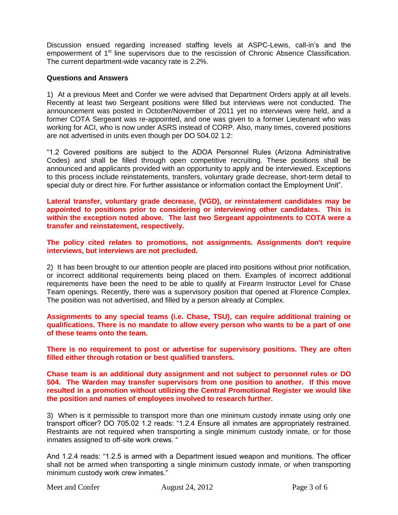Discussion ensued regarding increased staffing levels at ASPC-Lewis, call-in's and the empowerment of 1<sup>st</sup> line supervisors due to the rescission of Chronic Absence Classification. The current department-wide vacancy rate is 2.2%.

### **Questions and Answers**

1) At a previous Meet and Confer we were advised that Department Orders apply at all levels. Recently at least two Sergeant positions were filled but interviews were not conducted. The announcement was posted in October/November of 2011 yet no interviews were held, and a former COTA Sergeant was re-appointed, and one was given to a former Lieutenant who was working for ACI, who is now under ASRS instead of CORP. Also, many times, covered positions are not advertised in units even though per DO 504.02 1.2:

"1.2 Covered positions are subject to the ADOA Personnel Rules (Arizona Administrative Codes) and shall be filled through open competitive recruiting. These positions shall be announced and applicants provided with an opportunity to apply and be interviewed. Exceptions to this process include reinstatements, transfers, voluntary grade decrease, short-term detail to special duty or direct hire. For further assistance or information contact the Employment Unit".

**Lateral transfer, voluntary grade decrease, (VGD), or reinstatement candidates may be appointed to positions prior to considering or interviewing other candidates. This is within the exception noted above. The last two Sergeant appointments to COTA were a transfer and reinstatement, respectively.** 

**The policy cited relates to promotions, not assignments. Assignments don't require interviews, but interviews are not precluded.**

2) It has been brought to our attention people are placed into positions without prior notification, or incorrect additional requirements being placed on them. Examples of incorrect additional requirements have been the need to be able to qualify at Firearm Instructor Level for Chase Team openings. Recently, there was a supervisory position that opened at Florence Complex. The position was not advertised, and filled by a person already at Complex.

**Assignments to any special teams (i.e. Chase, TSU), can require additional training or qualifications. There is no mandate to allow every person who wants to be a part of one of these teams onto the team.** 

**There is no requirement to post or advertise for supervisory positions. They are often filled either through rotation or best qualified transfers.** 

**Chase team is an additional duty assignment and not subject to personnel rules or DO 504. The Warden may transfer supervisors from one position to another. If this move resulted in a promotion without utilizing the Central Promotional Register we would like the position and names of employees involved to research further.** 

3) When is it permissible to transport more than one minimum custody inmate using only one transport officer? DO 705.02 1.2 reads: "1.2.4 Ensure all inmates are appropriately restrained. Restraints are not required when transporting a single minimum custody inmate, or for those inmates assigned to off-site work crews. "

And 1.2.4 reads: "1.2.5 is armed with a Department issued weapon and munitions. The officer shall not be armed when transporting a single minimum custody inmate, or when transporting minimum custody work crew inmates."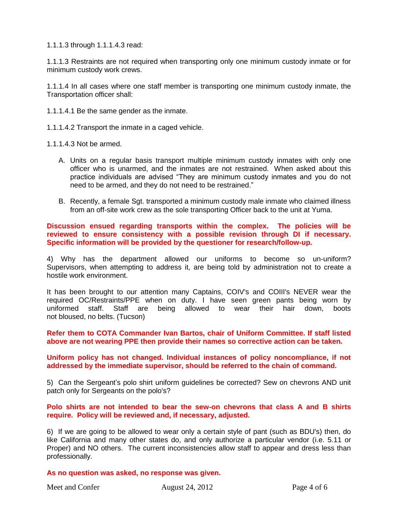1.1.1.3 through 1.1.1.4.3 read:

1.1.1.3 Restraints are not required when transporting only one minimum custody inmate or for minimum custody work crews.

1.1.1.4 In all cases where one staff member is transporting one minimum custody inmate, the Transportation officer shall:

1.1.1.4.1 Be the same gender as the inmate.

1.1.1.4.2 Transport the inmate in a caged vehicle.

1.1.1.4.3 Not be armed.

- A. Units on a regular basis transport multiple minimum custody inmates with only one officer who is unarmed, and the inmates are not restrained. When asked about this practice individuals are advised "They are minimum custody inmates and you do not need to be armed, and they do not need to be restrained."
- B. Recently, a female Sgt. transported a minimum custody male inmate who claimed illness from an off-site work crew as the sole transporting Officer back to the unit at Yuma.

**Discussion ensued regarding transports within the complex. The policies will be reviewed to ensure consistency with a possible revision through DI if necessary. Specific information will be provided by the questioner for research/follow-up.** 

4) Why has the department allowed our uniforms to become so un-uniform? Supervisors, when attempting to address it, are being told by administration not to create a hostile work environment.

It has been brought to our attention many Captains, COIV's and COIII's NEVER wear the required OC/Restraints/PPE when on duty. I have seen green pants being worn by uniformed staff. Staff are being allowed to wear their hair down, boots not bloused, no belts. (Tucson)

**Refer them to COTA Commander Ivan Bartos, chair of Uniform Committee. If staff listed above are not wearing PPE then provide their names so corrective action can be taken.** 

**Uniform policy has not changed. Individual instances of policy noncompliance, if not addressed by the immediate supervisor, should be referred to the chain of command.**

5) Can the Sergeant's polo shirt uniform guidelines be corrected? Sew on chevrons AND unit patch only for Sergeants on the polo's?

**Polo shirts are not intended to bear the sew-on chevrons that class A and B shirts require. Policy will be reviewed and, if necessary, adjusted.**

6) If we are going to be allowed to wear only a certain style of pant (such as BDU's) then, do like California and many other states do, and only authorize a particular vendor (i.e. 5.11 or Proper) and NO others. The current inconsistencies allow staff to appear and dress less than professionally.

### **As no question was asked, no response was given.**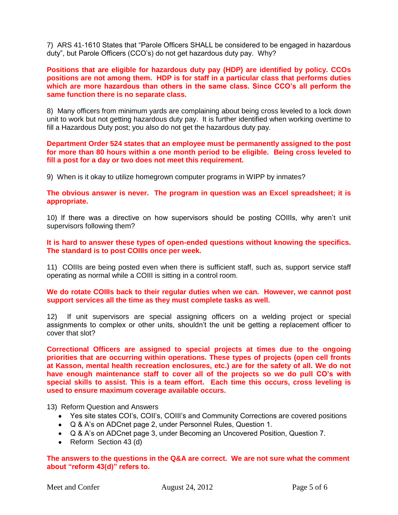7) ARS 41-1610 States that "Parole Officers SHALL be considered to be engaged in hazardous duty", but Parole Officers (CCO's) do not get hazardous duty pay. Why?

**Positions that are eligible for hazardous duty pay (HDP) are identified by policy. CCOs positions are not among them. HDP is for staff in a particular class that performs duties which are more hazardous than others in the same class. Since CCO's all perform the same function there is no separate class.**

8) Many officers from minimum yards are complaining about being cross leveled to a lock down unit to work but not getting hazardous duty pay. It is further identified when working overtime to fill a Hazardous Duty post; you also do not get the hazardous duty pay.

**Department Order 524 states that an employee must be permanently assigned to the post for more than 80 hours within a one month period to be eligible. Being cross leveled to fill a post for a day or two does not meet this requirement.**

9) When is it okay to utilize homegrown computer programs in WIPP by inmates?

**The obvious answer is never. The program in question was an Excel spreadsheet; it is appropriate.**

10) If there was a directive on how supervisors should be posting COIIIs, why aren't unit supervisors following them?

**It is hard to answer these types of open-ended questions without knowing the specifics. The standard is to post COIIIs once per week.** 

11) COIIIs are being posted even when there is sufficient staff, such as, support service staff operating as normal while a COIII is sitting in a control room.

**We do rotate COIIIs back to their regular duties when we can. However, we cannot post support services all the time as they must complete tasks as well.**

12) If unit supervisors are special assigning officers on a welding project or special assignments to complex or other units, shouldn't the unit be getting a replacement officer to cover that slot?

**Correctional Officers are assigned to special projects at times due to the ongoing priorities that are occurring within operations. These types of projects (open cell fronts at Kasson, mental health recreation enclosures, etc.) are for the safety of all. We do not have enough maintenance staff to cover all of the projects so we do pull CO's with special skills to assist. This is a team effort. Each time this occurs, cross leveling is used to ensure maximum coverage available occurs.**

13) Reform Question and Answers

- Yes site states COI's, COII's, COIII's and Community Corrections are covered positions
- Q & A's on ADCnet page 2, under Personnel Rules, Question 1.
- Q & A's on ADCnet page 3, under Becoming an Uncovered Position, Question 7.
- Reform Section 43 (d)

**The answers to the questions in the Q&A are correct. We are not sure what the comment about "reform 43(d)" refers to.**